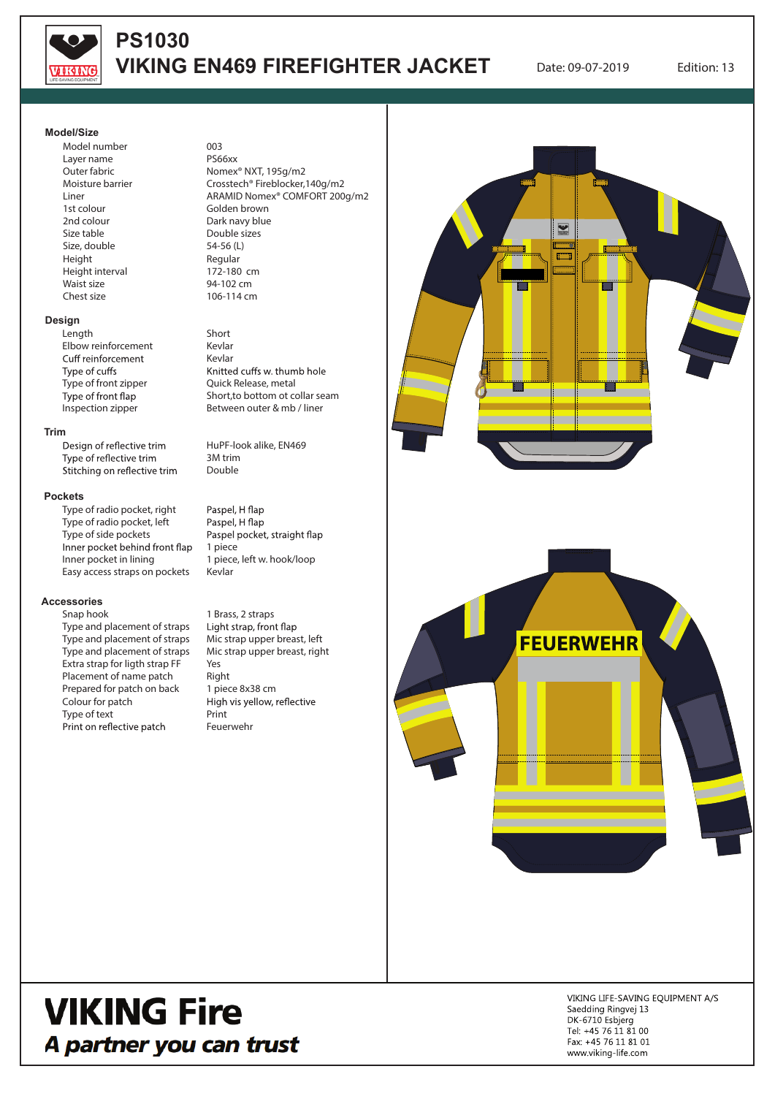

## **PS1030 VIKING EN469 FIREFIGHTER JACKET** Date: 09-07-2019 Edition: 13

#### **Model/Size**

Model number Layer name Outer fabric Moisture barrier Liner 1st colour 2nd colour Size table Size, double Height Height interval Waist size Chest size

### **Design**

Length Elbow reinforcement Cuff reinforcement Type of cuffs Type of front zipper<br>Type of front flap Inspection zipper

#### **Trim**

Design of reflective trim Type of reflective trim Stitching on reflective trim

#### **Pockets**

Type of radio pocket, right Type of radio pocket, left Type of side pockets Inner pocket behind front flap Inner pocket in lining Easy access straps on pockets

#### **Accessories**

Snap hook Type and placement of straps Type and placement of straps Type and placement of straps Extra strap for ligth strap FF Placement of name patch Prepared for patch on back Colour for patch Type of text Print on reflective patch

003 PS66xx Nomex® NXT, 195g/m2 Crosstech® Fireblocker,140g/m2 ARAMID Nomex® COMFORT 200g/m2 Golden brown Dark navy blue Double sizes 54-56 (L) Regular 172-180 cm 94-102 cm 106-114 cm

#### Short

Kevlar Kevlar<br>Knitted cuffs w. thumb hole Quick Release, metal Short,to bottom ot collar seam Between outer & mb / liner

HuPF-look alike, EN469 3M trim Double

Paspel, H flap Paspel, H flap Paspel pocket, straight flap 1 piece 1 piece, left w. hook/loop Kevlar

1 Brass, 2 straps Light strap, front flap Mic strap upper breast, left Mic strap upper breast, right Yes Right 1 piece 8x38 cm High vis yellow, reflective Print Feuerwehr



# **VIKING Fire** A partner you can trust

VIKING LIFE-SAVING EQUIPMENT A/S Saedding Ringvej 13 DK-6710 Esbjerg Tel: +45 76 11 81 00 Fax: +45 76 11 81 01 www.viking-life.com